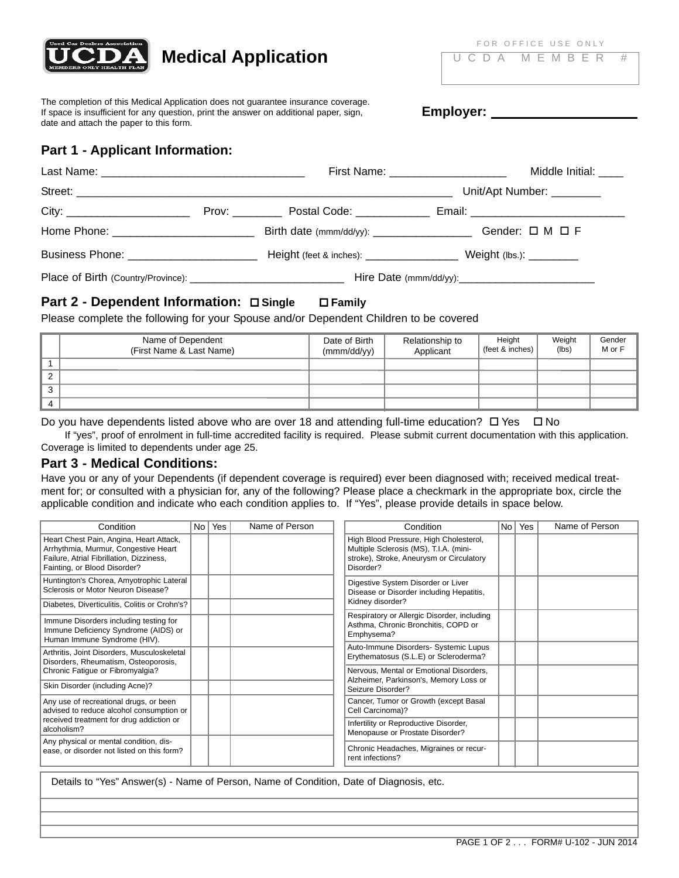

# **Medical Application UCDA MEMBER #**

The completion of this Medical Application does not guarantee insurance coverage. If space is insufficient for any question, print the answer on additional paper, sign, date and attach the paper to this form.

**Employer:** 

# **Part 1 - Applicant Information:**

|                                        |  | First Name: ______________________            |  | Middle Initial: ____      |  |
|----------------------------------------|--|-----------------------------------------------|--|---------------------------|--|
|                                        |  |                                               |  | Unit/Apt Number: ________ |  |
|                                        |  | Prov: <u>______</u> Postal Code: ____________ |  |                           |  |
|                                        |  | Birth date (mmm/dd/yy): ____________________  |  | Gender: $\Box$ M $\Box$ F |  |
| Business Phone: ______________________ |  |                                               |  |                           |  |
|                                        |  |                                               |  |                           |  |

# **Part 2 - Dependent Information: Single Family**

Please complete the following for your Spouse and/or Dependent Children to be covered

|             | Name of Dependent<br>(First Name & Last Name) | Date of Birth<br>(mmm/dd/yy) | Relationship to<br>Applicant | Height<br>(feet & inches) | Weight<br>(lbs) | Gender<br>M or F |
|-------------|-----------------------------------------------|------------------------------|------------------------------|---------------------------|-----------------|------------------|
|             |                                               |                              |                              |                           |                 |                  |
|             |                                               |                              |                              |                           |                 |                  |
| $\sim$<br>ు |                                               |                              |                              |                           |                 |                  |
| 4           |                                               |                              |                              |                           |                 |                  |

Do you have dependents listed above who are over 18 and attending full-time education?  $\Box$  Yes  $\Box$  No

If "yes", proof of enrolment in full-time accredited facility is required. Please submit current documentation with this application. Coverage is limited to dependents under age 25.

# **Part 3 - Medical Conditions:**

Have you or any of your Dependents (if dependent coverage is required) ever been diagnosed with; received medical treatment for; or consulted with a physician for, any of the following? Please place a checkmark in the appropriate box, circle the applicable condition and indicate who each condition applies to. If "Yes", please provide details in space below.

| Condition                                                                                                                                                   | No <sub>1</sub> | Yes | Name of Person | Condition                                                                                                                                 | No <sub>1</sub> | Yes | Name of Person |
|-------------------------------------------------------------------------------------------------------------------------------------------------------------|-----------------|-----|----------------|-------------------------------------------------------------------------------------------------------------------------------------------|-----------------|-----|----------------|
| Heart Chest Pain, Angina, Heart Attack,<br>Arrhythmia, Murmur, Congestive Heart<br>Failure, Atrial Fibrillation, Dizziness,<br>Fainting, or Blood Disorder? |                 |     |                | High Blood Pressure, High Cholesterol,<br>Multiple Sclerosis (MS), T.I.A. (mini-<br>stroke), Stroke, Aneurysm or Circulatory<br>Disorder? |                 |     |                |
| Huntington's Chorea, Amyotrophic Lateral<br>Sclerosis or Motor Neuron Disease?                                                                              |                 |     |                | Digestive System Disorder or Liver<br>Disease or Disorder including Hepatitis,                                                            |                 |     |                |
| Diabetes, Diverticulitis, Colitis or Crohn's?                                                                                                               |                 |     |                | Kidney disorder?                                                                                                                          |                 |     |                |
| Immune Disorders including testing for<br>Immune Deficiency Syndrome (AIDS) or<br>Human Immune Syndrome (HIV).                                              |                 |     |                | Respiratory or Allergic Disorder, including<br>Asthma, Chronic Bronchitis, COPD or<br>Emphysema?                                          |                 |     |                |
| Arthritis, Joint Disorders, Musculoskeletal<br>Disorders, Rheumatism, Osteoporosis,                                                                         |                 |     |                | Auto-Immune Disorders- Systemic Lupus<br>Erythematosus (S.L.E) or Scleroderma?                                                            |                 |     |                |
| Chronic Fatigue or Fibromyalgia?                                                                                                                            |                 |     |                | Nervous, Mental or Emotional Disorders,                                                                                                   |                 |     |                |
| Skin Disorder (including Acne)?                                                                                                                             |                 |     |                | Alzheimer, Parkinson's, Memory Loss or<br>Seizure Disorder?                                                                               |                 |     |                |
| Any use of recreational drugs, or been<br>advised to reduce alcohol consumption or                                                                          |                 |     |                | Cancer, Tumor or Growth (except Basal<br>Cell Carcinoma)?                                                                                 |                 |     |                |
| received treatment for drug addiction or<br>alcoholism?                                                                                                     |                 |     |                | Infertility or Reproductive Disorder,<br>Menopause or Prostate Disorder?                                                                  |                 |     |                |
| Any physical or mental condition, dis-<br>ease, or disorder not listed on this form?                                                                        |                 |     |                | Chronic Headaches, Migraines or recur-<br>rent infections?                                                                                |                 |     |                |
|                                                                                                                                                             |                 |     |                |                                                                                                                                           |                 |     |                |

Details to "Yes" Answer(s) - Name of Person, Name of Condition, Date of Diagnosis, etc.